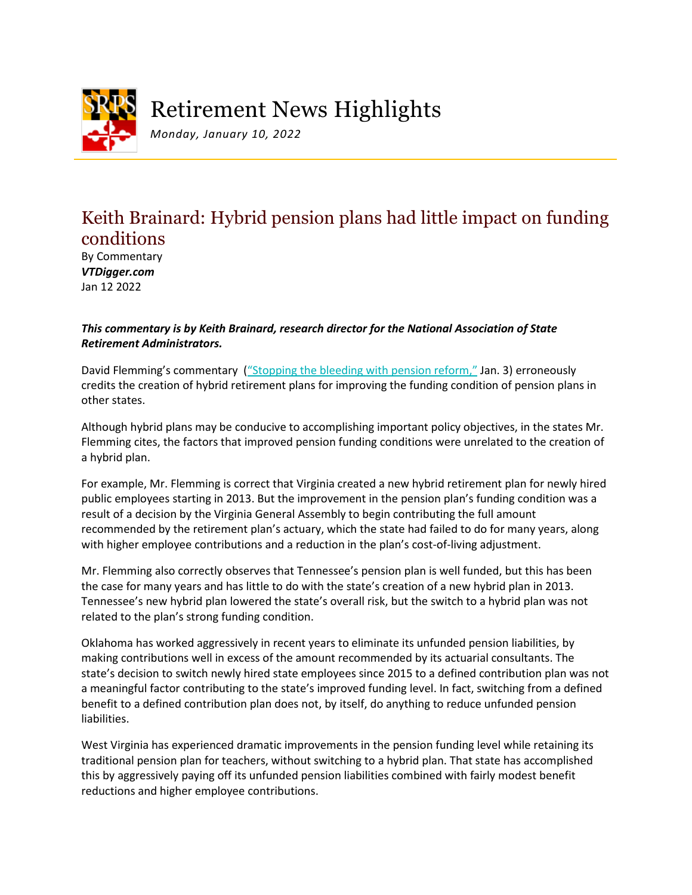

Retirement News Highlights

*Monday, January 10, 2022*

## Keith Brainard: Hybrid pension plans had little impact on funding conditions

By Commentary *VTDigger.com* Jan 12 2022

## *This commentary is by Keith Brainard, research director for the National Association of State Retirement Administrators.*

David Flemming's commentary ("Stopping [the bleeding with pension reform,"](https://vtdigger.org/2022/01/03/david-flemming-stopping-the-bleeding-with-pension-reform/?is_wppwa=true&wpappninja_cache=friendly) Jan. 3) erroneously credits the creation of hybrid retirement plans for improving the funding condition of pension plans in other states.

Although hybrid plans may be conducive to accomplishing important policy objectives, in the states Mr. Flemming cites, the factors that improved pension funding conditions were unrelated to the creation of a hybrid plan.

For example, Mr. Flemming is correct that Virginia created a new hybrid retirement plan for newly hired public employees starting in 2013. But the improvement in the pension plan's funding condition was a result of a decision by the Virginia General Assembly to begin contributing the full amount recommended by the retirement plan's actuary, which the state had failed to do for many years, along with higher employee contributions and a reduction in the plan's cost-of-living adjustment.

Mr. Flemming also correctly observes that Tennessee's pension plan is well funded, but this has been the case for many years and has little to do with the state's creation of a new hybrid plan in 2013. Tennessee's new hybrid plan lowered the state's overall risk, but the switch to a hybrid plan was not related to the plan's strong funding condition.

Oklahoma has worked aggressively in recent years to eliminate its unfunded pension liabilities, by making contributions well in excess of the amount recommended by its actuarial consultants. The state's decision to switch newly hired state employees since 2015 to a defined contribution plan was not a meaningful factor contributing to the state's improved funding level. In fact, switching from a defined benefit to a defined contribution plan does not, by itself, do anything to reduce unfunded pension liabilities.

West Virginia has experienced dramatic improvements in the pension funding level while retaining its traditional pension plan for teachers, without switching to a hybrid plan. That state has accomplished this by aggressively paying off its unfunded pension liabilities combined with fairly modest benefit reductions and higher employee contributions.